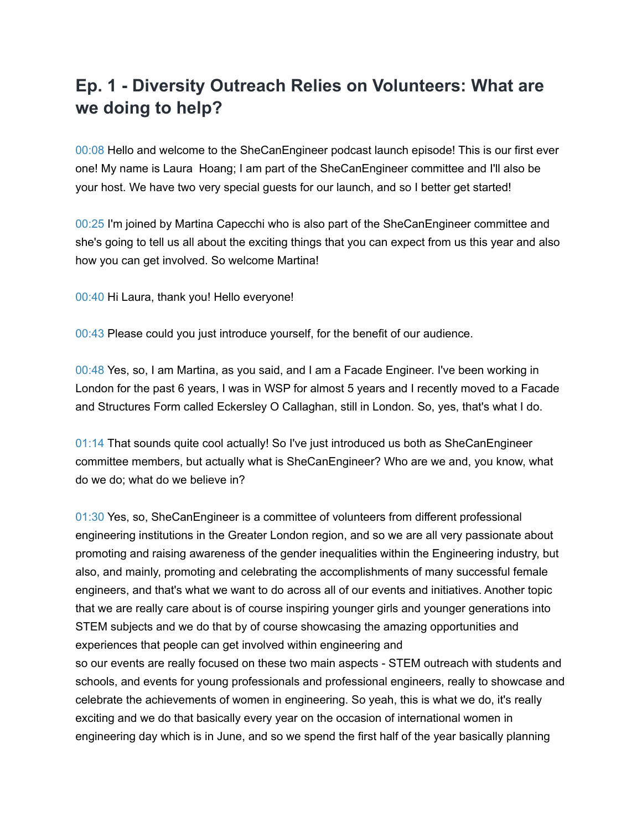## **Ep. 1 - Diversity Outreach Relies on Volunteers: What are we doing to help?**

00:08 Hello and welcome to the SheCanEngineer podcast launch episode! This is our first ever one! My name is Laura Hoang; I am part of the SheCanEngineer committee and I'll also be your host. We have two very special guests for our launch, and so I better get started!

00:25 I'm joined by Martina Capecchi who is also part of the SheCanEngineer committee and she's going to tell us all about the exciting things that you can expect from us this year and also how you can get involved. So welcome Martina!

00:40 Hi Laura, thank you! Hello everyone!

00:43 Please could you just introduce yourself, for the benefit of our audience.

00:48 Yes, so, I am Martina, as you said, and I am a Facade Engineer. I've been working in London for the past 6 years, I was in WSP for almost 5 years and I recently moved to a Facade and Structures Form called Eckersley O Callaghan, still in London. So, yes, that's what I do.

01:14 That sounds quite cool actually! So I've just introduced us both as SheCanEngineer committee members, but actually what is SheCanEngineer? Who are we and, you know, what do we do; what do we believe in?

01:30 Yes, so, SheCanEngineer is a committee of volunteers from different professional engineering institutions in the Greater London region, and so we are all very passionate about promoting and raising awareness of the gender inequalities within the Engineering industry, but also, and mainly, promoting and celebrating the accomplishments of many successful female engineers, and that's what we want to do across all of our events and initiatives. Another topic that we are really care about is of course inspiring younger girls and younger generations into STEM subjects and we do that by of course showcasing the amazing opportunities and experiences that people can get involved within engineering and so our events are really focused on these two main aspects - STEM outreach with students and schools, and events for young professionals and professional engineers, really to showcase and celebrate the achievements of women in engineering. So yeah, this is what we do, it's really exciting and we do that basically every year on the occasion of international women in engineering day which is in June, and so we spend the first half of the year basically planning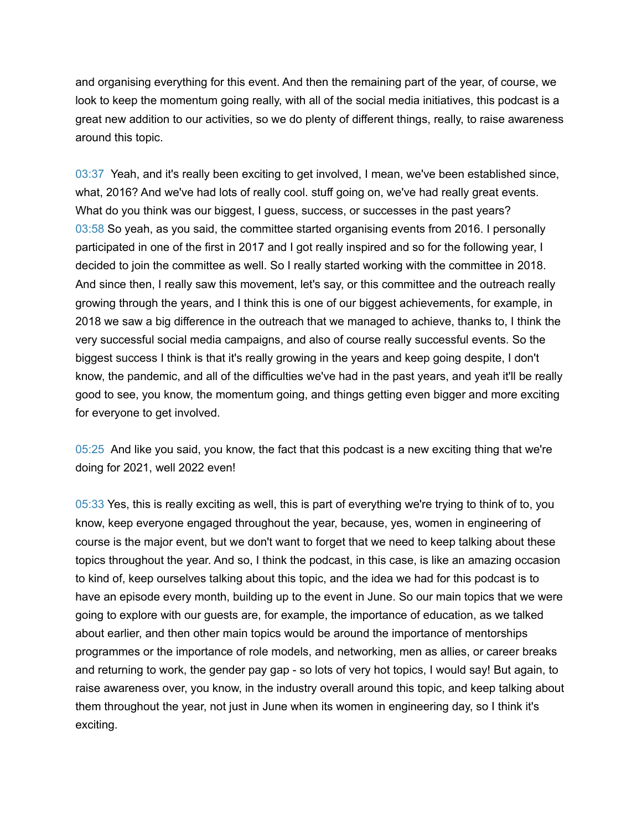and organising everything for this event. And then the remaining part of the year, of course, we look to keep the momentum going really, with all of the social media initiatives, this podcast is a great new addition to our activities, so we do plenty of different things, really, to raise awareness around this topic.

03:37 Yeah, and it's really been exciting to get involved, I mean, we've been established since, what, 2016? And we've had lots of really cool. stuff going on, we've had really great events. What do you think was our biggest, I guess, success, or successes in the past years? 03:58 So yeah, as you said, the committee started organising events from 2016. I personally participated in one of the first in 2017 and I got really inspired and so for the following year, I decided to join the committee as well. So I really started working with the committee in 2018. And since then, I really saw this movement, let's say, or this committee and the outreach really growing through the years, and I think this is one of our biggest achievements, for example, in 2018 we saw a big difference in the outreach that we managed to achieve, thanks to, I think the very successful social media campaigns, and also of course really successful events. So the biggest success I think is that it's really growing in the years and keep going despite, I don't know, the pandemic, and all of the difficulties we've had in the past years, and yeah it'll be really good to see, you know, the momentum going, and things getting even bigger and more exciting for everyone to get involved.

05:25 And like you said, you know, the fact that this podcast is a new exciting thing that we're doing for 2021, well 2022 even!

05:33 Yes, this is really exciting as well, this is part of everything we're trying to think of to, you know, keep everyone engaged throughout the year, because, yes, women in engineering of course is the major event, but we don't want to forget that we need to keep talking about these topics throughout the year. And so, I think the podcast, in this case, is like an amazing occasion to kind of, keep ourselves talking about this topic, and the idea we had for this podcast is to have an episode every month, building up to the event in June. So our main topics that we were going to explore with our guests are, for example, the importance of education, as we talked about earlier, and then other main topics would be around the importance of mentorships programmes or the importance of role models, and networking, men as allies, or career breaks and returning to work, the gender pay gap - so lots of very hot topics, I would say! But again, to raise awareness over, you know, in the industry overall around this topic, and keep talking about them throughout the year, not just in June when its women in engineering day, so I think it's exciting.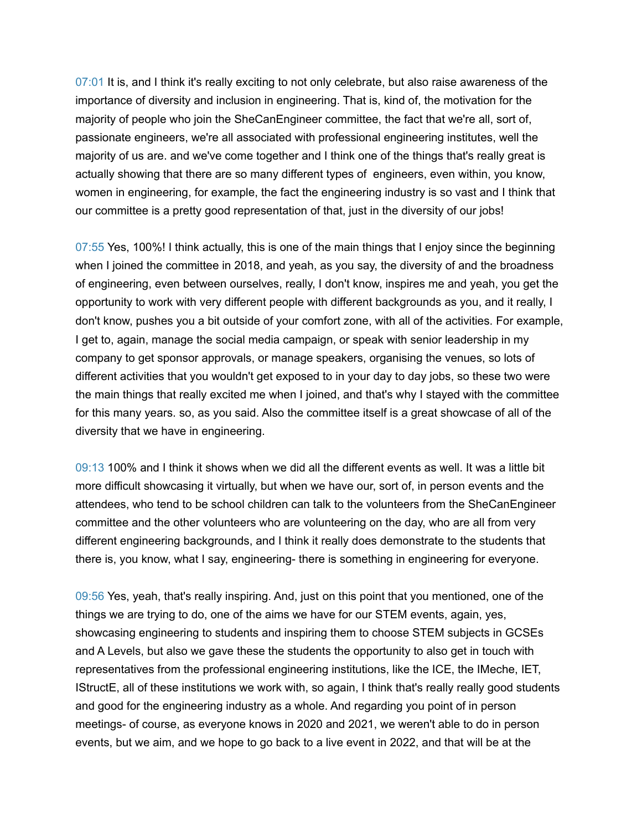07:01 It is, and I think it's really exciting to not only celebrate, but also raise awareness of the importance of diversity and inclusion in engineering. That is, kind of, the motivation for the majority of people who join the SheCanEngineer committee, the fact that we're all, sort of, passionate engineers, we're all associated with professional engineering institutes, well the majority of us are. and we've come together and I think one of the things that's really great is actually showing that there are so many different types of engineers, even within, you know, women in engineering, for example, the fact the engineering industry is so vast and I think that our committee is a pretty good representation of that, just in the diversity of our jobs!

07:55 Yes, 100%! I think actually, this is one of the main things that I enjoy since the beginning when I joined the committee in 2018, and yeah, as you say, the diversity of and the broadness of engineering, even between ourselves, really, I don't know, inspires me and yeah, you get the opportunity to work with very different people with different backgrounds as you, and it really, I don't know, pushes you a bit outside of your comfort zone, with all of the activities. For example, I get to, again, manage the social media campaign, or speak with senior leadership in my company to get sponsor approvals, or manage speakers, organising the venues, so lots of different activities that you wouldn't get exposed to in your day to day jobs, so these two were the main things that really excited me when I joined, and that's why I stayed with the committee for this many years. so, as you said. Also the committee itself is a great showcase of all of the diversity that we have in engineering.

09:13 100% and I think it shows when we did all the different events as well. It was a little bit more difficult showcasing it virtually, but when we have our, sort of, in person events and the attendees, who tend to be school children can talk to the volunteers from the SheCanEngineer committee and the other volunteers who are volunteering on the day, who are all from very different engineering backgrounds, and I think it really does demonstrate to the students that there is, you know, what I say, engineering- there is something in engineering for everyone.

09:56 Yes, yeah, that's really inspiring. And, just on this point that you mentioned, one of the things we are trying to do, one of the aims we have for our STEM events, again, yes, showcasing engineering to students and inspiring them to choose STEM subjects in GCSEs and A Levels, but also we gave these the students the opportunity to also get in touch with representatives from the professional engineering institutions, like the ICE, the IMeche, IET, IStructE, all of these institutions we work with, so again, I think that's really really good students and good for the engineering industry as a whole. And regarding you point of in person meetings- of course, as everyone knows in 2020 and 2021, we weren't able to do in person events, but we aim, and we hope to go back to a live event in 2022, and that will be at the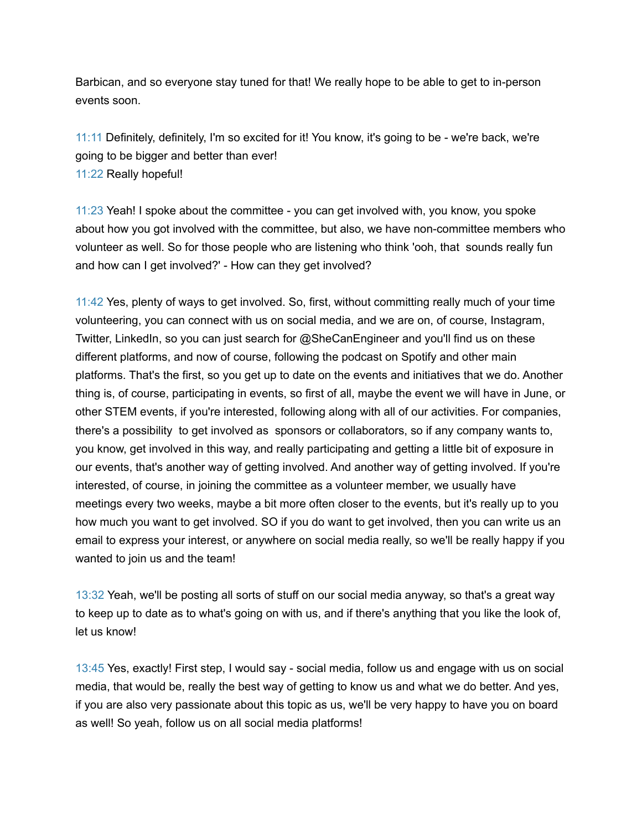Barbican, and so everyone stay tuned for that! We really hope to be able to get to in-person events soon.

11:11 Definitely, definitely, I'm so excited for it! You know, it's going to be - we're back, we're going to be bigger and better than ever! 11:22 Really hopeful!

11:23 Yeah! I spoke about the committee - you can get involved with, you know, you spoke about how you got involved with the committee, but also, we have non-committee members who volunteer as well. So for those people who are listening who think 'ooh, that sounds really fun and how can I get involved?' - How can they get involved?

11:42 Yes, plenty of ways to get involved. So, first, without committing really much of your time volunteering, you can connect with us on social media, and we are on, of course, Instagram, Twitter, LinkedIn, so you can just search for @SheCanEngineer and you'll find us on these different platforms, and now of course, following the podcast on Spotify and other main platforms. That's the first, so you get up to date on the events and initiatives that we do. Another thing is, of course, participating in events, so first of all, maybe the event we will have in June, or other STEM events, if you're interested, following along with all of our activities. For companies, there's a possibility to get involved as sponsors or collaborators, so if any company wants to, you know, get involved in this way, and really participating and getting a little bit of exposure in our events, that's another way of getting involved. And another way of getting involved. If you're interested, of course, in joining the committee as a volunteer member, we usually have meetings every two weeks, maybe a bit more often closer to the events, but it's really up to you how much you want to get involved. SO if you do want to get involved, then you can write us an email to express your interest, or anywhere on social media really, so we'll be really happy if you wanted to join us and the team!

13:32 Yeah, we'll be posting all sorts of stuff on our social media anyway, so that's a great way to keep up to date as to what's going on with us, and if there's anything that you like the look of, let us know!

13:45 Yes, exactly! First step, I would say - social media, follow us and engage with us on social media, that would be, really the best way of getting to know us and what we do better. And yes, if you are also very passionate about this topic as us, we'll be very happy to have you on board as well! So yeah, follow us on all social media platforms!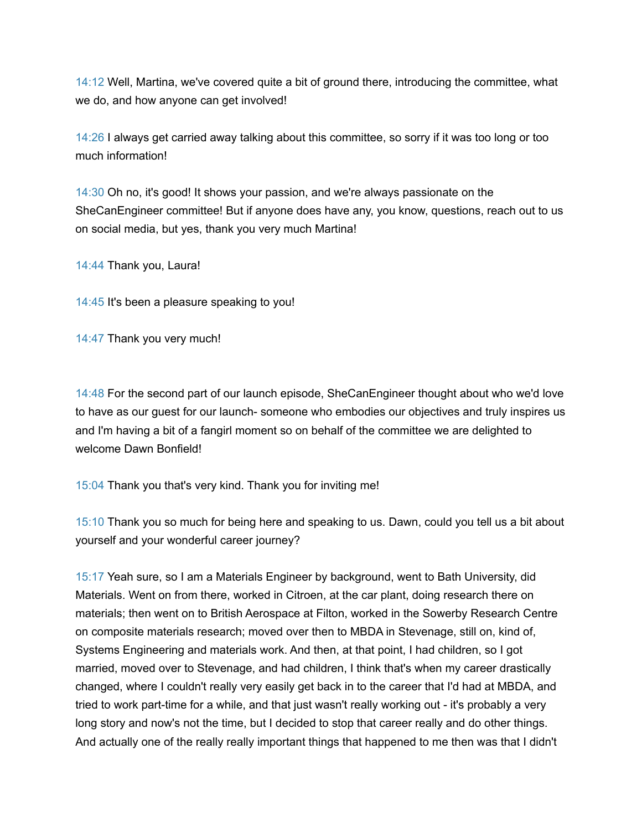14:12 Well, Martina, we've covered quite a bit of ground there, introducing the committee, what we do, and how anyone can get involved!

14:26 I always get carried away talking about this committee, so sorry if it was too long or too much information!

14:30 Oh no, it's good! It shows your passion, and we're always passionate on the SheCanEngineer committee! But if anyone does have any, you know, questions, reach out to us on social media, but yes, thank you very much Martina!

14:44 Thank you, Laura!

14:45 It's been a pleasure speaking to you!

14:47 Thank you very much!

14:48 For the second part of our launch episode, SheCanEngineer thought about who we'd love to have as our guest for our launch- someone who embodies our objectives and truly inspires us and I'm having a bit of a fangirl moment so on behalf of the committee we are delighted to welcome Dawn Bonfield!

15:04 Thank you that's very kind. Thank you for inviting me!

15:10 Thank you so much for being here and speaking to us. Dawn, could you tell us a bit about yourself and your wonderful career journey?

15:17 Yeah sure, so I am a Materials Engineer by background, went to Bath University, did Materials. Went on from there, worked in Citroen, at the car plant, doing research there on materials; then went on to British Aerospace at Filton, worked in the Sowerby Research Centre on composite materials research; moved over then to MBDA in Stevenage, still on, kind of, Systems Engineering and materials work. And then, at that point, I had children, so I got married, moved over to Stevenage, and had children, I think that's when my career drastically changed, where I couldn't really very easily get back in to the career that I'd had at MBDA, and tried to work part-time for a while, and that just wasn't really working out - it's probably a very long story and now's not the time, but I decided to stop that career really and do other things. And actually one of the really really important things that happened to me then was that I didn't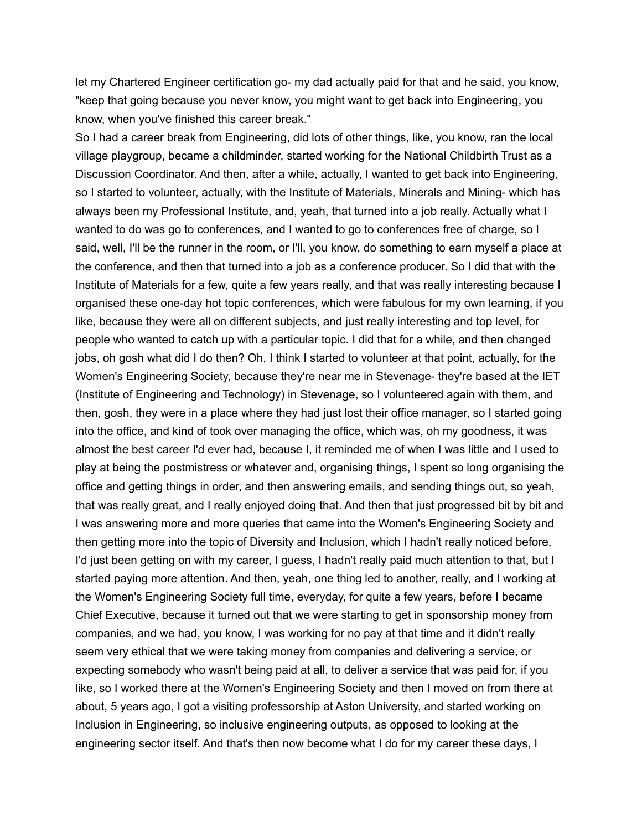let my Chartered Engineer certification go- my dad actually paid for that and he said, you know, "keep that going because you never know, you might want to get back into Engineering, you know, when you've finished this career break."

So I had a career break from Engineering, did lots of other things, like, you know, ran the local village playgroup, became a childminder, started working for the National Childbirth Trust as a Discussion Coordinator. And then, after a while, actually, I wanted to get back into Engineering, so I started to volunteer, actually, with the Institute of Materials, Minerals and Mining- which has always been my Professional Institute, and, yeah, that turned into a job really. Actually what I wanted to do was go to conferences, and I wanted to go to conferences free of charge, so I said, well, I'll be the runner in the room, or I'll, you know, do something to earn myself a place at the conference, and then that turned into a job as a conference producer. So I did that with the Institute of Materials for a few, quite a few years really, and that was really interesting because I organised these one-day hot topic conferences, which were fabulous for my own learning, if you like, because they were all on different subjects, and just really interesting and top level, for people who wanted to catch up with a particular topic. I did that for a while, and then changed jobs, oh gosh what did I do then? Oh, I think I started to volunteer at that point, actually, for the Women's Engineering Society, because they're near me in Stevenage- they're based at the IET (Institute of Engineering and Technology) in Stevenage, so I volunteered again with them, and then, gosh, they were in a place where they had just lost their office manager, so I started going into the office, and kind of took over managing the office, which was, oh my goodness, it was almost the best career I'd ever had, because I, it reminded me of when I was little and I used to play at being the postmistress or whatever and, organising things, I spent so long organising the office and getting things in order, and then answering emails, and sending things out, so yeah, that was really great, and I really enjoyed doing that. And then that just progressed bit by bit and I was answering more and more queries that came into the Women's Engineering Society and then getting more into the topic of Diversity and Inclusion, which I hadn't really noticed before, I'd just been getting on with my career, I guess, I hadn't really paid much attention to that, but I started paying more attention. And then, yeah, one thing led to another, really, and I working at the Women's Engineering Society full time, everyday, for quite a few years, before I became Chief Executive, because it turned out that we were starting to get in sponsorship money from companies, and we had, you know, I was working for no pay at that time and it didn't really seem very ethical that we were taking money from companies and delivering a service, or expecting somebody who wasn't being paid at all, to deliver a service that was paid for, if you like, so I worked there at the Women's Engineering Society and then I moved on from there at about, 5 years ago, I got a visiting professorship at Aston University, and started working on Inclusion in Engineering, so inclusive engineering outputs, as opposed to looking at the engineering sector itself. And that's then now become what I do for my career these days, I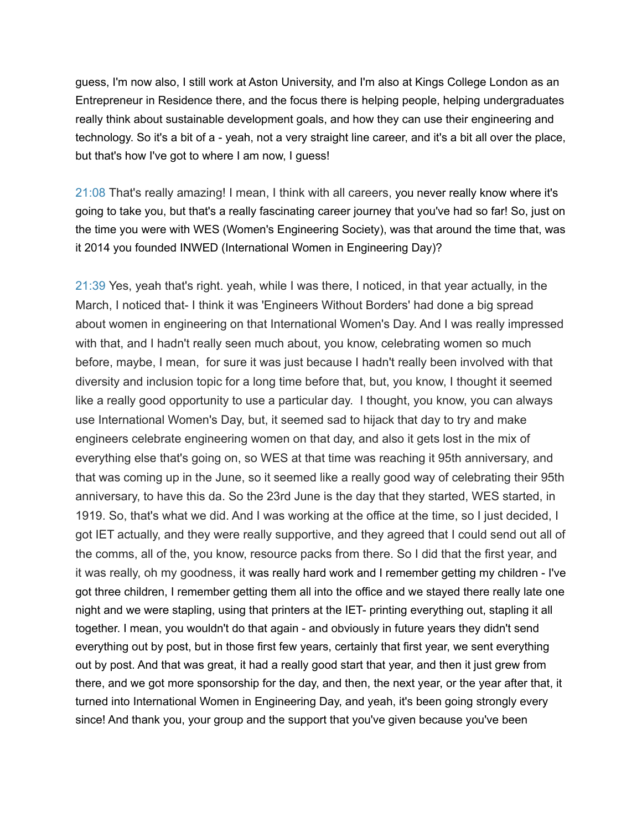guess, I'm now also, I still work at Aston University, and I'm also at Kings College London as an Entrepreneur in Residence there, and the focus there is helping people, helping undergraduates really think about sustainable development goals, and how they can use their engineering and technology. So it's a bit of a - yeah, not a very straight line career, and it's a bit all over the place, but that's how I've got to where I am now, I guess!

21:08 That's really amazing! I mean, I think with all careers, you never really know where it's going to take you, but that's a really fascinating career journey that you've had so far! So, just on the time you were with WES (Women's Engineering Society), was that around the time that, was it 2014 you founded INWED (International Women in Engineering Day)?

21:39 Yes, yeah that's right. yeah, while I was there, I noticed, in that year actually, in the March, I noticed that- I think it was 'Engineers Without Borders' had done a big spread about women in engineering on that International Women's Day. And I was really impressed with that, and I hadn't really seen much about, you know, celebrating women so much before, maybe, I mean, for sure it was just because I hadn't really been involved with that diversity and inclusion topic for a long time before that, but, you know, I thought it seemed like a really good opportunity to use a particular day. I thought, you know, you can always use International Women's Day, but, it seemed sad to hijack that day to try and make engineers celebrate engineering women on that day, and also it gets lost in the mix of everything else that's going on, so WES at that time was reaching it 95th anniversary, and that was coming up in the June, so it seemed like a really good way of celebrating their 95th anniversary, to have this da. So the 23rd June is the day that they started, WES started, in 1919. So, that's what we did. And I was working at the office at the time, so I just decided, I got IET actually, and they were really supportive, and they agreed that I could send out all of the comms, all of the, you know, resource packs from there. So I did that the first year, and it was really, oh my goodness, it was really hard work and I remember getting my children - I've got three children, I remember getting them all into the office and we stayed there really late one night and we were stapling, using that printers at the IET- printing everything out, stapling it all together. I mean, you wouldn't do that again - and obviously in future years they didn't send everything out by post, but in those first few years, certainly that first year, we sent everything out by post. And that was great, it had a really good start that year, and then it just grew from there, and we got more sponsorship for the day, and then, the next year, or the year after that, it turned into International Women in Engineering Day, and yeah, it's been going strongly every since! And thank you, your group and the support that you've given because you've been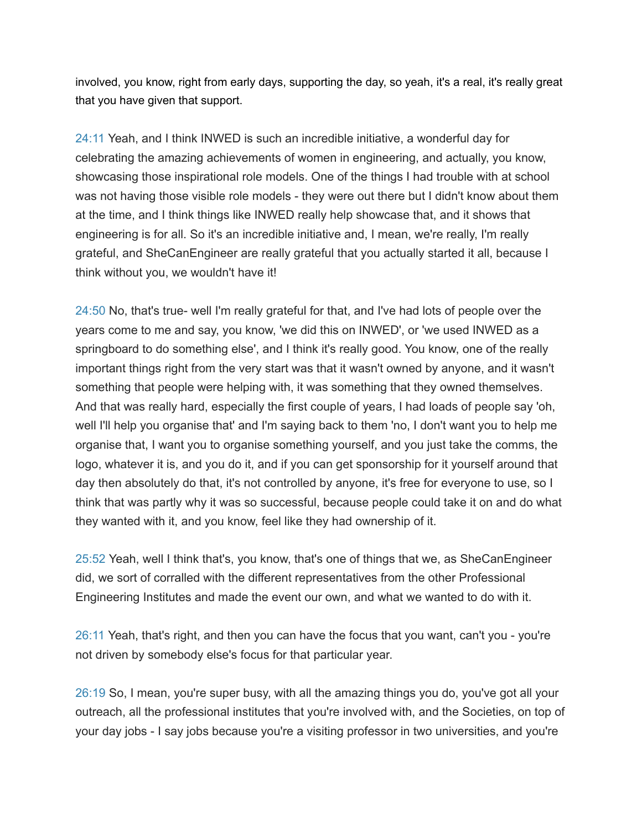involved, you know, right from early days, supporting the day, so yeah, it's a real, it's really great that you have given that support.

24:11 Yeah, and I think INWED is such an incredible initiative, a wonderful day for celebrating the amazing achievements of women in engineering, and actually, you know, showcasing those inspirational role models. One of the things I had trouble with at school was not having those visible role models - they were out there but I didn't know about them at the time, and I think things like INWED really help showcase that, and it shows that engineering is for all. So it's an incredible initiative and, I mean, we're really, I'm really grateful, and SheCanEngineer are really grateful that you actually started it all, because I think without you, we wouldn't have it!

24:50 No, that's true- well I'm really grateful for that, and I've had lots of people over the years come to me and say, you know, 'we did this on INWED', or 'we used INWED as a springboard to do something else', and I think it's really good. You know, one of the really important things right from the very start was that it wasn't owned by anyone, and it wasn't something that people were helping with, it was something that they owned themselves. And that was really hard, especially the first couple of years, I had loads of people say 'oh, well I'll help you organise that' and I'm saying back to them 'no, I don't want you to help me organise that, I want you to organise something yourself, and you just take the comms, the logo, whatever it is, and you do it, and if you can get sponsorship for it yourself around that day then absolutely do that, it's not controlled by anyone, it's free for everyone to use, so I think that was partly why it was so successful, because people could take it on and do what they wanted with it, and you know, feel like they had ownership of it.

25:52 Yeah, well I think that's, you know, that's one of things that we, as SheCanEngineer did, we sort of corralled with the different representatives from the other Professional Engineering Institutes and made the event our own, and what we wanted to do with it.

26:11 Yeah, that's right, and then you can have the focus that you want, can't you - you're not driven by somebody else's focus for that particular year.

26:19 So, I mean, you're super busy, with all the amazing things you do, you've got all your outreach, all the professional institutes that you're involved with, and the Societies, on top of your day jobs - I say jobs because you're a visiting professor in two universities, and you're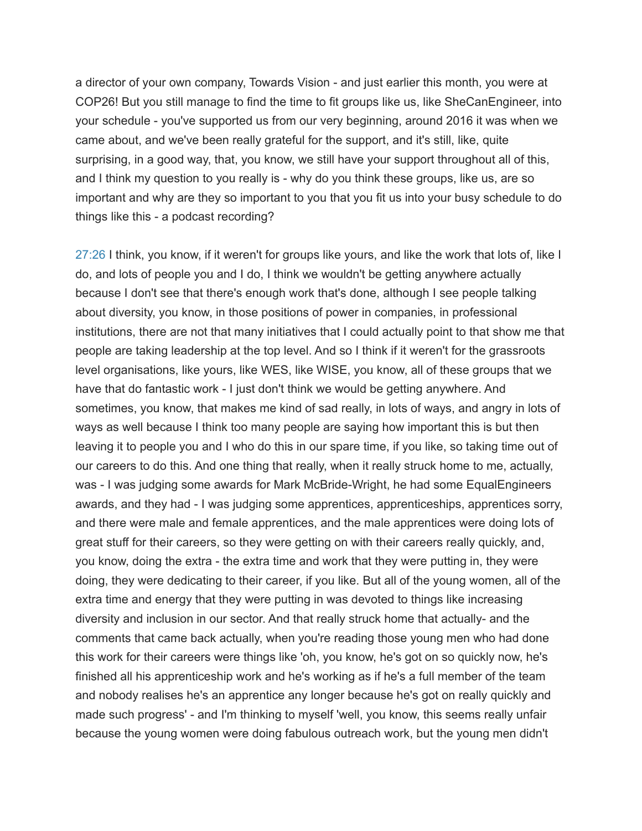a director of your own company, Towards Vision - and just earlier this month, you were at COP26! But you still manage to find the time to fit groups like us, like SheCanEngineer, into your schedule - you've supported us from our very beginning, around 2016 it was when we came about, and we've been really grateful for the support, and it's still, like, quite surprising, in a good way, that, you know, we still have your support throughout all of this, and I think my question to you really is - why do you think these groups, like us, are so important and why are they so important to you that you fit us into your busy schedule to do things like this - a podcast recording?

27:26 I think, you know, if it weren't for groups like yours, and like the work that lots of, like I do, and lots of people you and I do, I think we wouldn't be getting anywhere actually because I don't see that there's enough work that's done, although I see people talking about diversity, you know, in those positions of power in companies, in professional institutions, there are not that many initiatives that I could actually point to that show me that people are taking leadership at the top level. And so I think if it weren't for the grassroots level organisations, like yours, like WES, like WISE, you know, all of these groups that we have that do fantastic work - I just don't think we would be getting anywhere. And sometimes, you know, that makes me kind of sad really, in lots of ways, and angry in lots of ways as well because I think too many people are saying how important this is but then leaving it to people you and I who do this in our spare time, if you like, so taking time out of our careers to do this. And one thing that really, when it really struck home to me, actually, was - I was judging some awards for Mark McBride-Wright, he had some EqualEngineers awards, and they had - I was judging some apprentices, apprenticeships, apprentices sorry, and there were male and female apprentices, and the male apprentices were doing lots of great stuff for their careers, so they were getting on with their careers really quickly, and, you know, doing the extra - the extra time and work that they were putting in, they were doing, they were dedicating to their career, if you like. But all of the young women, all of the extra time and energy that they were putting in was devoted to things like increasing diversity and inclusion in our sector. And that really struck home that actually- and the comments that came back actually, when you're reading those young men who had done this work for their careers were things like 'oh, you know, he's got on so quickly now, he's finished all his apprenticeship work and he's working as if he's a full member of the team and nobody realises he's an apprentice any longer because he's got on really quickly and made such progress' - and I'm thinking to myself 'well, you know, this seems really unfair because the young women were doing fabulous outreach work, but the young men didn't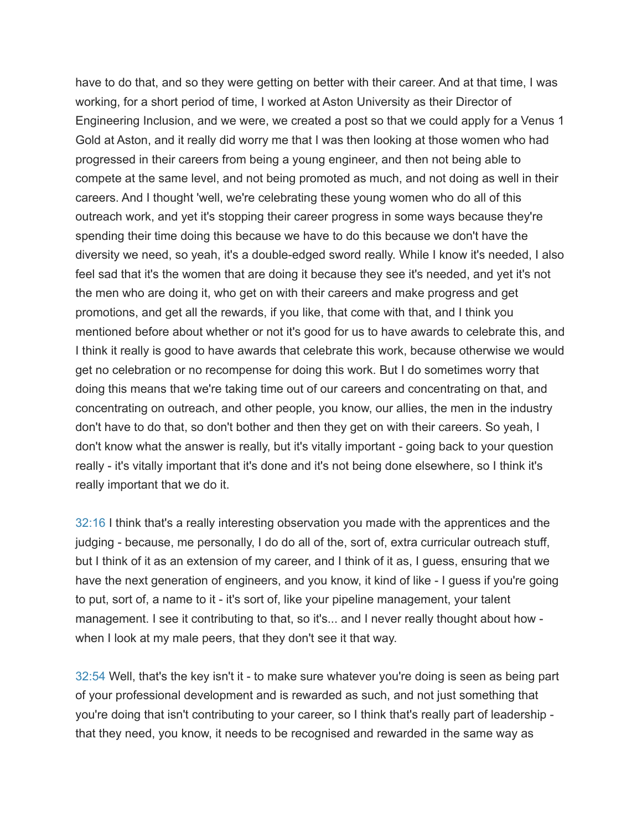have to do that, and so they were getting on better with their career. And at that time, I was working, for a short period of time, I worked at Aston University as their Director of Engineering Inclusion, and we were, we created a post so that we could apply for a Venus 1 Gold at Aston, and it really did worry me that I was then looking at those women who had progressed in their careers from being a young engineer, and then not being able to compete at the same level, and not being promoted as much, and not doing as well in their careers. And I thought 'well, we're celebrating these young women who do all of this outreach work, and yet it's stopping their career progress in some ways because they're spending their time doing this because we have to do this because we don't have the diversity we need, so yeah, it's a double-edged sword really. While I know it's needed, I also feel sad that it's the women that are doing it because they see it's needed, and yet it's not the men who are doing it, who get on with their careers and make progress and get promotions, and get all the rewards, if you like, that come with that, and I think you mentioned before about whether or not it's good for us to have awards to celebrate this, and I think it really is good to have awards that celebrate this work, because otherwise we would get no celebration or no recompense for doing this work. But I do sometimes worry that doing this means that we're taking time out of our careers and concentrating on that, and concentrating on outreach, and other people, you know, our allies, the men in the industry don't have to do that, so don't bother and then they get on with their careers. So yeah, I don't know what the answer is really, but it's vitally important - going back to your question really - it's vitally important that it's done and it's not being done elsewhere, so I think it's really important that we do it.

32:16 I think that's a really interesting observation you made with the apprentices and the judging - because, me personally, I do do all of the, sort of, extra curricular outreach stuff, but I think of it as an extension of my career, and I think of it as, I guess, ensuring that we have the next generation of engineers, and you know, it kind of like - I guess if you're going to put, sort of, a name to it - it's sort of, like your pipeline management, your talent management. I see it contributing to that, so it's... and I never really thought about how when I look at my male peers, that they don't see it that way.

32:54 Well, that's the key isn't it - to make sure whatever you're doing is seen as being part of your professional development and is rewarded as such, and not just something that you're doing that isn't contributing to your career, so I think that's really part of leadership that they need, you know, it needs to be recognised and rewarded in the same way as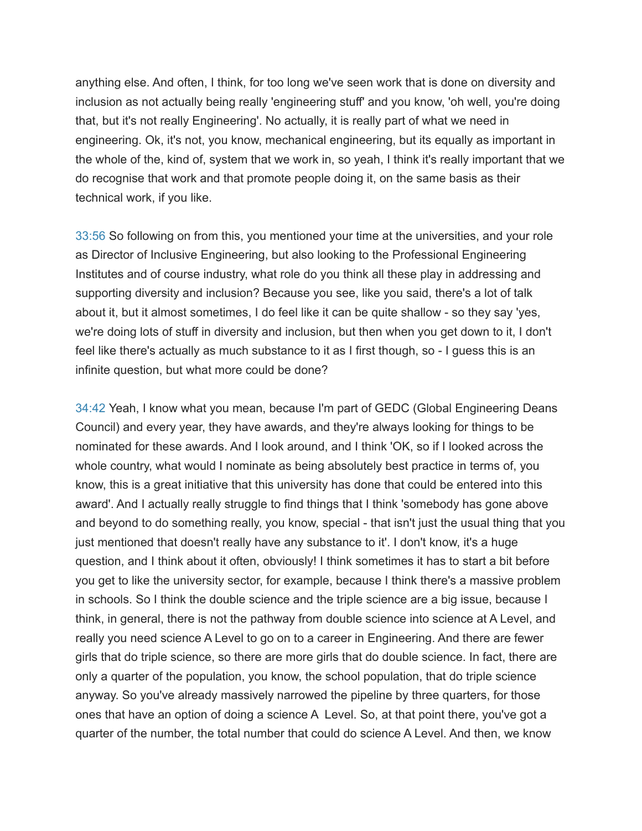anything else. And often, I think, for too long we've seen work that is done on diversity and inclusion as not actually being really 'engineering stuff' and you know, 'oh well, you're doing that, but it's not really Engineering'. No actually, it is really part of what we need in engineering. Ok, it's not, you know, mechanical engineering, but its equally as important in the whole of the, kind of, system that we work in, so yeah, I think it's really important that we do recognise that work and that promote people doing it, on the same basis as their technical work, if you like.

33:56 So following on from this, you mentioned your time at the universities, and your role as Director of Inclusive Engineering, but also looking to the Professional Engineering Institutes and of course industry, what role do you think all these play in addressing and supporting diversity and inclusion? Because you see, like you said, there's a lot of talk about it, but it almost sometimes, I do feel like it can be quite shallow - so they say 'yes, we're doing lots of stuff in diversity and inclusion, but then when you get down to it, I don't feel like there's actually as much substance to it as I first though, so - I guess this is an infinite question, but what more could be done?

34:42 Yeah, I know what you mean, because I'm part of GEDC (Global Engineering Deans Council) and every year, they have awards, and they're always looking for things to be nominated for these awards. And I look around, and I think 'OK, so if I looked across the whole country, what would I nominate as being absolutely best practice in terms of, you know, this is a great initiative that this university has done that could be entered into this award'. And I actually really struggle to find things that I think 'somebody has gone above and beyond to do something really, you know, special - that isn't just the usual thing that you just mentioned that doesn't really have any substance to it'. I don't know, it's a huge question, and I think about it often, obviously! I think sometimes it has to start a bit before you get to like the university sector, for example, because I think there's a massive problem in schools. So I think the double science and the triple science are a big issue, because I think, in general, there is not the pathway from double science into science at A Level, and really you need science A Level to go on to a career in Engineering. And there are fewer girls that do triple science, so there are more girls that do double science. In fact, there are only a quarter of the population, you know, the school population, that do triple science anyway. So you've already massively narrowed the pipeline by three quarters, for those ones that have an option of doing a science A Level. So, at that point there, you've got a quarter of the number, the total number that could do science A Level. And then, we know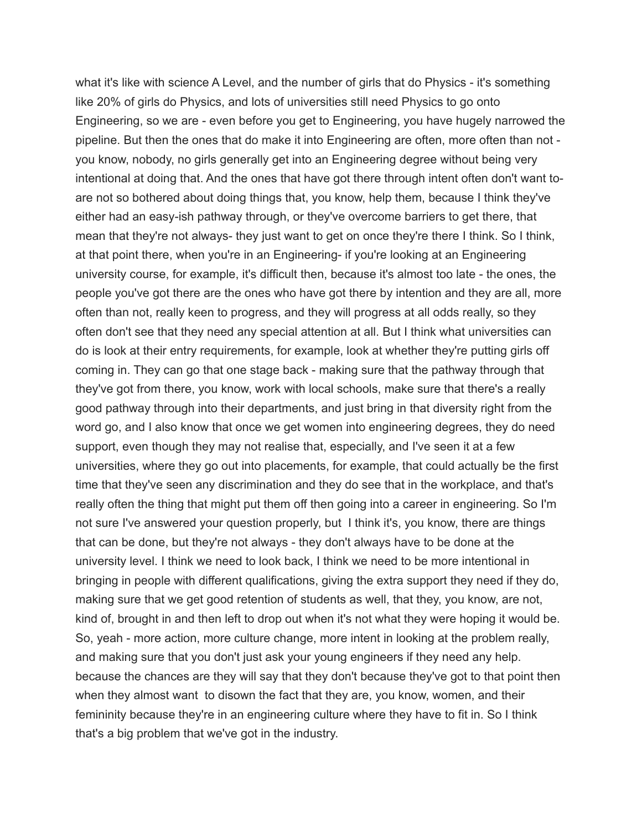what it's like with science A Level, and the number of girls that do Physics - it's something like 20% of girls do Physics, and lots of universities still need Physics to go onto Engineering, so we are - even before you get to Engineering, you have hugely narrowed the pipeline. But then the ones that do make it into Engineering are often, more often than not you know, nobody, no girls generally get into an Engineering degree without being very intentional at doing that. And the ones that have got there through intent often don't want toare not so bothered about doing things that, you know, help them, because I think they've either had an easy-ish pathway through, or they've overcome barriers to get there, that mean that they're not always- they just want to get on once they're there I think. So I think, at that point there, when you're in an Engineering- if you're looking at an Engineering university course, for example, it's difficult then, because it's almost too late - the ones, the people you've got there are the ones who have got there by intention and they are all, more often than not, really keen to progress, and they will progress at all odds really, so they often don't see that they need any special attention at all. But I think what universities can do is look at their entry requirements, for example, look at whether they're putting girls off coming in. They can go that one stage back - making sure that the pathway through that they've got from there, you know, work with local schools, make sure that there's a really good pathway through into their departments, and just bring in that diversity right from the word go, and I also know that once we get women into engineering degrees, they do need support, even though they may not realise that, especially, and I've seen it at a few universities, where they go out into placements, for example, that could actually be the first time that they've seen any discrimination and they do see that in the workplace, and that's really often the thing that might put them off then going into a career in engineering. So I'm not sure I've answered your question properly, but I think it's, you know, there are things that can be done, but they're not always - they don't always have to be done at the university level. I think we need to look back, I think we need to be more intentional in bringing in people with different qualifications, giving the extra support they need if they do, making sure that we get good retention of students as well, that they, you know, are not, kind of, brought in and then left to drop out when it's not what they were hoping it would be. So, yeah - more action, more culture change, more intent in looking at the problem really, and making sure that you don't just ask your young engineers if they need any help. because the chances are they will say that they don't because they've got to that point then when they almost want to disown the fact that they are, you know, women, and their femininity because they're in an engineering culture where they have to fit in. So I think that's a big problem that we've got in the industry.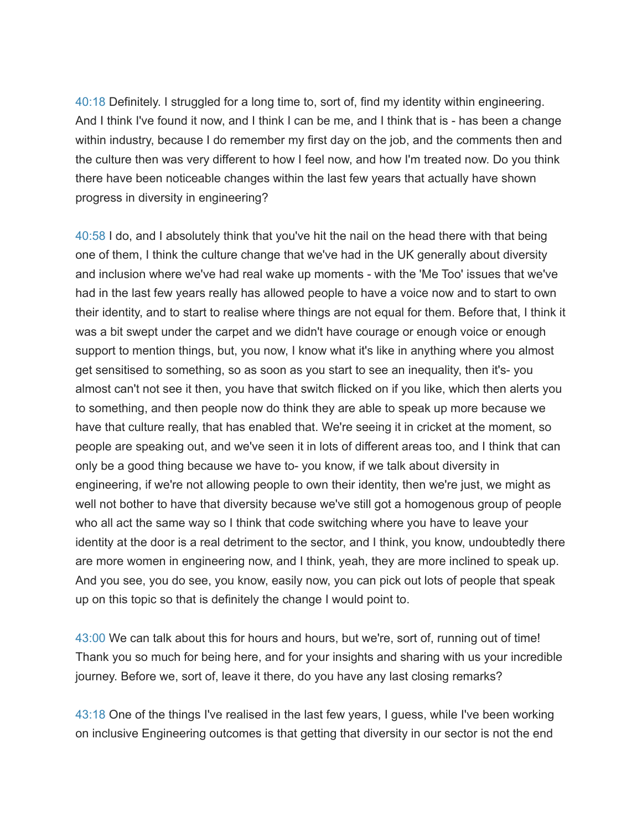40:18 Definitely. I struggled for a long time to, sort of, find my identity within engineering. And I think I've found it now, and I think I can be me, and I think that is - has been a change within industry, because I do remember my first day on the job, and the comments then and the culture then was very different to how I feel now, and how I'm treated now. Do you think there have been noticeable changes within the last few years that actually have shown progress in diversity in engineering?

40:58 I do, and I absolutely think that you've hit the nail on the head there with that being one of them, I think the culture change that we've had in the UK generally about diversity and inclusion where we've had real wake up moments - with the 'Me Too' issues that we've had in the last few years really has allowed people to have a voice now and to start to own their identity, and to start to realise where things are not equal for them. Before that, I think it was a bit swept under the carpet and we didn't have courage or enough voice or enough support to mention things, but, you now, I know what it's like in anything where you almost get sensitised to something, so as soon as you start to see an inequality, then it's- you almost can't not see it then, you have that switch flicked on if you like, which then alerts you to something, and then people now do think they are able to speak up more because we have that culture really, that has enabled that. We're seeing it in cricket at the moment, so people are speaking out, and we've seen it in lots of different areas too, and I think that can only be a good thing because we have to- you know, if we talk about diversity in engineering, if we're not allowing people to own their identity, then we're just, we might as well not bother to have that diversity because we've still got a homogenous group of people who all act the same way so I think that code switching where you have to leave your identity at the door is a real detriment to the sector, and I think, you know, undoubtedly there are more women in engineering now, and I think, yeah, they are more inclined to speak up. And you see, you do see, you know, easily now, you can pick out lots of people that speak up on this topic so that is definitely the change I would point to.

43:00 We can talk about this for hours and hours, but we're, sort of, running out of time! Thank you so much for being here, and for your insights and sharing with us your incredible journey. Before we, sort of, leave it there, do you have any last closing remarks?

43:18 One of the things I've realised in the last few years, I guess, while I've been working on inclusive Engineering outcomes is that getting that diversity in our sector is not the end